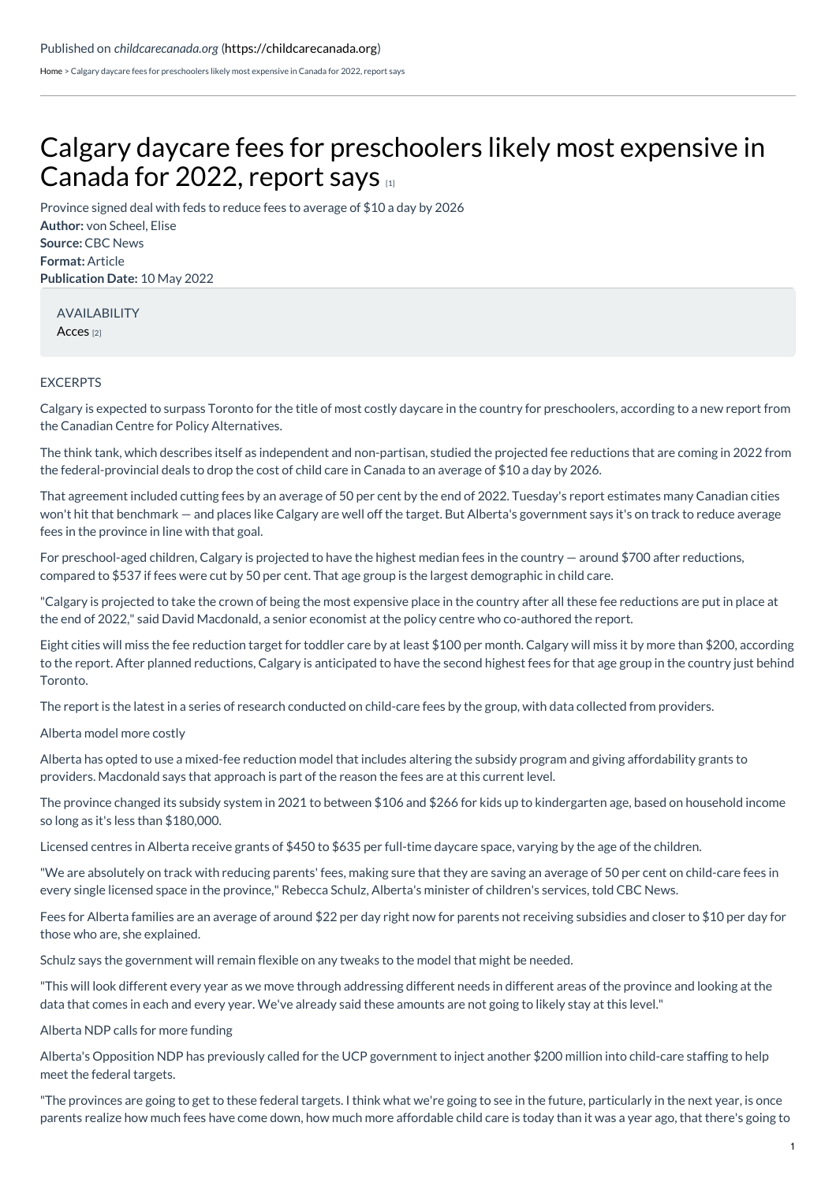[Home](https://childcarecanada.org/) > Calgary daycare fees for preschoolers likely most expensive in Canada for 2022, report says

## Calgary daycare fees for [preschoolers](https://childcarecanada.org/documents/child-care-news/22/05/calgary-daycare-fees-preschoolers-likely-most-expensive-canada-2022) likely most expensive in Canada for 2022, report says [1]

**Author:** von Scheel, Elise **Source:** CBC News **Format:** Article **Publication Date:** 10 May 2022 Province signed deal with feds to reduce fees to average of \$10 a day by 2026

AVAILABILITY [Acces](https://www.cbc.ca/news/canada/calgary/calgary-daycare-fees-preschools-most-expensive-canada-1.6447181) [2]

## EXCERPTS

Calgary is expected to surpass Toronto for the title of most costly daycare in the country for preschoolers, according to a new report from the Canadian Centre for Policy Alternatives.

The think tank, which describes itself as independent and non-partisan, studied the projected fee reductions that are coming in 2022 from the federal-provincial deals to drop the cost of child care in Canada to an average of \$10 a day by 2026.

That agreement included cutting fees by an average of 50 per cent by the end of 2022. Tuesday's report estimates many Canadian cities won't hit that benchmark — and places like Calgary are well off the target. But Alberta's government says it's on track to reduce average fees in the province in line with that goal.

For preschool-aged children, Calgary is projected to have the highest median fees in the country — around \$700 after reductions, compared to \$537 if fees were cut by 50 per cent. That age group is the largest demographic in child care.

"Calgary is projected to take the crown of being the most expensive place in the country after all these fee reductions are put in place at the end of 2022," said David Macdonald, a senior economist at the policy centre who co-authored the report.

Eight cities will miss the fee reduction target for toddler care by at least \$100 per month. Calgary will miss it by more than \$200, according to the report. After planned reductions, Calgary is anticipated to have the second highest fees for that age group in the country just behind Toronto.

The report is the latest in a series of research conducted on child-care fees by the group, with data collected from providers.

## Alberta model more costly

Alberta has opted to use a mixed-fee reduction model that includes altering the subsidy program and giving affordability grants to providers. Macdonald says that approach is part of the reason the fees are at this current level.

The province changed its subsidy system in 2021 to between \$106 and \$266 for kids up to kindergarten age, based on household income so long as it's less than \$180,000.

Licensed centres in Alberta receive grants of \$450 to \$635 per full-time daycare space, varying by the age of the children.

"We are absolutely on track with reducing parents' fees, making sure that they are saving an average of 50 per cent on child-care fees in every single licensed space in the province," Rebecca Schulz, Alberta's minister of children's services, told CBC News.

Fees for Alberta families are an average of around \$22 per day right now for parents not receiving subsidies and closer to \$10 per day for those who are, she explained.

Schulz says the government will remain flexible on any tweaks to the model that might be needed.

"This will look different every year as we move through addressing different needs in different areas of the province and looking at the data that comes in each and every year. We've already said these amounts are not going to likely stay at this level."

Alberta NDP calls for more funding

Alberta's Opposition NDP has previously called for the UCP government to inject another \$200 million into child-care staffing to help meet the federal targets.

"The provinces are going to get to these federal targets. I think what we're going to see in the future, particularly in the next year, is once parents realize how much fees have come down, how much more affordable child care is today than it was a year ago, that there's going to